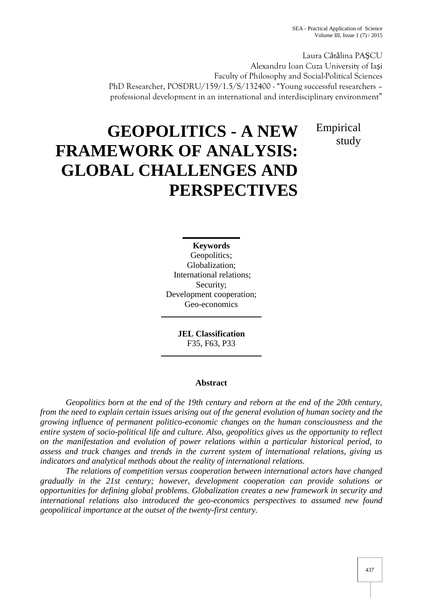Laura C t lina PA CU Alexandru Ioan Cuza University of Ia i Faculty of Philosophy and Social-Political Sciences PhD Researcher, POSDRU/159/1.5/S/132400 - "Young successful researchers professional development in an international and interdisciplinary environment"

> Empirical study

# **GEOPOLITICS - A NEW FRAMEWORK OF ANALYSIS: GLOBAL CHALLENGES AND PERSPECTIVES**

**Keywords** Geopolitics; Globalization; International relations; Security; Development cooperation; Geo-economics

> **JEL Classification** F35, F63, P33

# **Abstract**

*Geopolitics born at the end of the 19th century and reborn at the end of the 20th century, from the need to explain certain issues arising out of the general evolution of human society and the growing influence of permanent politico-economic changes on the human consciousness and the entire system of socio-political life and culture. Also, geopolitics gives us the opportunity to reflect on the manifestation and evolution of power relations within a particular historical period, to assess and track changes and trends in the current system of international relations, giving us indicators and analytical methods about the reality of international relations.*

*The relations of competition versus cooperation between international actors have changed gradually in the 21st century; however, development cooperation can provide solutions or opportunities for defining global problems. Globalization creates a new framework in security and international relations also introduced the geo-economics perspectives to assumed new found geopolitical importance at the outset of the twenty-first century.*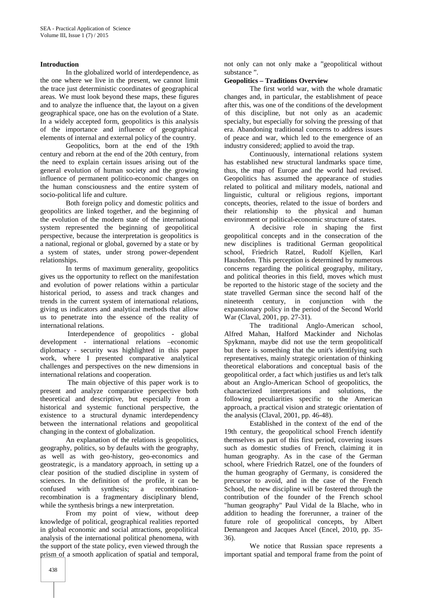#### **Introduction**

In the globalized world of interdependence, as the one where we live in the present, we cannot limit the trace just deterministic coordinates of geographical areas. We must look beyond these maps, these figures and to analyze the influence that, the layout on a given geographical space, one has on the evolution of a State. In a widely accepted form, geopolitics is this analysis of the importance and influence of geographical elements of internal and external policy of the country.

Geopolitics, born at the end of the 19th century and reborn at the end of the 20th century, from the need to explain certain issues arising out of the general evolution of human society and the growing influence of permanent politico-economic changes on the human consciousness and the entire system of socio-political life and culture.

Both foreign policy and domestic politics and geopolitics are linked together, and the beginning of the evolution of the modern state of the international system represented the beginning of geopolitical perspective, because the interpretation is geopolitics is a national, regional or global, governed by a state or by a system of states, under strong power-dependent relationships.

In terms of maximum generality, geopolitics gives us the opportunity to reflect on the manifestation and evolution of power relations within a particular historical period, to assess and track changes and trends in the current system of international relations, giving us indicators and analytical methods that allow us to penetrate into the essence of the reality of international relations.

Interdependence of geopolitics - global development - international relations –economic diplomacy - security was highlighted in this paper work, where I presented comparative analytical challenges and perspectives on the new dimensions in international relations and cooperation.

The main objective of this paper work is to present and analyze comparative perspective both theoretical and descriptive, but especially from a historical and systemic functional perspective, the existence to a structural dynamic interdependency between the international relations and geopolitical changing in the context of globalization.

An explanation of the relations is geopolitics, geography, politics, so by defaults with the geography, as well as with geo-history, geo-economics and geostrategic, is a mandatory approach, in setting up a clear position of the studied discipline in system of sciences. In the definition of the profile, it can be confused with synthesis; a recombinationrecombination is a fragmentary disciplinary blend, while the synthesis brings a new interpretation.

From my point of view, without deep knowledge of political, geographical realities reported in global economic and social attractions, geopolitical analysis of the international political phenomena, with the support of the state policy, even viewed through the prism of a smooth application of spatial and temporal,

not only can not only make a "geopolitical without substance ".

## **Geopolitics – Traditions Overview**

The first world war, with the whole dramatic changes and, in particular, the establishment of peace after this, was one of the conditions of the development of this discipline, but not only as an academic specialty, but especially for solving the pressing of that era. Abandoning traditional concerns to address issues of peace and war, which led to the emergence of an industry considered; applied to avoid the trap.

Continuously, international relations system has established new structural landmarks space time, thus, the map of Europe and the world had revised. Geopolitics has assumed the appearance of studies related to political and military models, national and linguistic, cultural or religious regions, important concepts, theories, related to the issue of borders and their relationship to the physical and human environment or political-economic structure of states.

A decisive role in shaping the first geopolitical concepts and in the consecration of the new disciplines is traditional German geopolitical school, Friedrich Ratzel, Rudolf Kjellen, Karl Haushofen. This perception is determined by numerous concerns regarding the political geography, military, and political theories in this field, moves which must be reported to the historic stage of the society and the state travelled German since the second half of the nineteenth century, in conjunction with the expansionary policy in the period of the Second World War (Claval, 2001, pp. 27-31).

The traditional Anglo-American school, Alfred Mahan, Halford Mackinder and Nicholas Spykmann, maybe did not use the term geopoliticalf but there is something that the unit's identifying such representatives, mainly strategic orientation of thinking theoretical elaborations and conceptual basis of the geopolitical order, a fact which justifies us and let's talk about an Anglo-American School of geopolitics, the characterized interpretations and solutions, the following peculiarities specific to the American approach, a practical vision and strategic orientation of the analysis (Claval, 2001, pp. 46-48).

Established in the context of the end of the 19th century, the geopolitical school French identify themselves as part of this first period, covering issues such as domestic studies of French, claiming it in human geography. As in the case of the German school, where Friedrich Ratzel, one of the founders of the human geography of Germany, is considered the precursor to avoid, and in the case of the French School, the new discipline will be fostered through the contribution of the founder of the French school "human geography" Paul Vidal de la Blache, who in addition to heading the forerunner, a trainer of the future role of geopolitical concepts, by Albert Demangeon and Jacques Ancel (Encel, 2010, pp. 35- 36).

We notice that Russian space represents a important spatial and temporal frame from the point of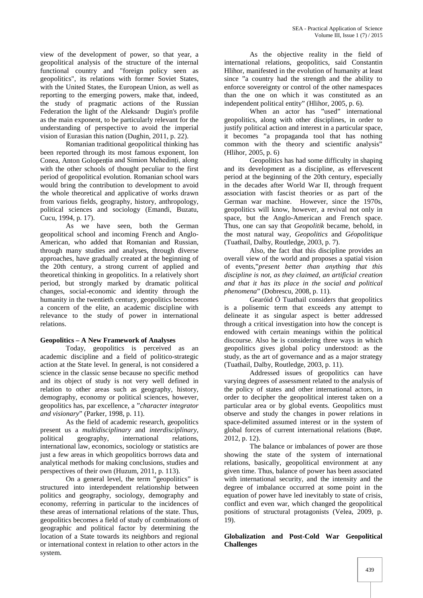view of the development of power, so that year, a geopolitical analysis of the structure of the internal functional country and "foreign policy seen as geopolitics", its relations with former Soviet States, with the United States, the European Union, as well as reporting to the emerging powers, make that, indeed, the study of pragmatic actions of the Russian Federation the light of the Aleksandr Dugin's profile as the main exponent, to be particularly relevant for the understanding of perspective to avoid the imperial vision of Eurasian this nation (Dughin, 2011, p. 22).

Romanian traditional geopolitical thinking has been reported through its most famous exponent, Ion Conea, Anton Golopenția and Simion Mehedinți, along with the other schools of thought peculiar to the first period of geopolitical evolution. Romanian school wars would bring the contribution to development to avoid the whole theoretical and applicative of works drawn from various fields, geography, history, anthropology, political sciences and sociology (Emandi, Buzatu, Cucu, 1994, p. 17).

As we have seen, both the German geopolitical school and incoming French and Anglo- American, who added that Romanian and Russian, through many studies and analyses, through diverse approaches, have gradually created at the beginning of the 20th century, a strong current of applied and theoretical thinking in geopolitics. In a relatively short period, but strongly marked by dramatic political changes, social-economic and identity through the humanity in the twentieth century, geopolitics becomes a concern of the elite, an academic discipline with relevance to the study of power in international relations.

# **Geopolitics – A New Framework of Analyses**

Today, geopolitics is perceived as an academic discipline and a field of politico-strategic action at the State level. In general, is not considered a science in the classic sense because no specific method and its object of study is not very well defined in relation to other areas such as geography, history, demography, economy or political sciences, however, geopolitics has, par excellence, a "*character integrator and visionary*" (Parker, 1998, p. 11).

As the field of academic research, geopolitics present us a *multidisciplinary* and *interdisciplinary*, political geography, international relations, international law, economics, sociology or statistics are just a few areas in which geopolitics borrows data and analytical methods for making conclusions, studies and perspectives of their own (Huzum, 2011, p. 113).

On a general level, the term "geopolitics" is structured into interdependent relationship between politics and geography, sociology, demography and economy, referring in particular to the incidences of these areas of international relations of the state. Thus, geopolitics becomes a field of study of combinations of geographic and political factor by determining the location of a State towards its neighbors and regional or international context in relation to other actors in the system.

As the objective reality in the field of international relations, geopolitics, said Constantin Hlihor, manifested in the evolution of humanity at least since "a country had the strength and the ability to enforce sovereignty or control of the other namespaces than the one on which it was constituted as an independent political entity" (Hlihor, 2005, p. 6).

When an actor has "used" international geopolitics, along with other disciplines, in order to justify political action and interest in a particular space, it becomes "a propaganda tool that has nothing common with the theory and scientific analysis" (Hlihor, 2005, p. 6)

Geopolitics has had some difficulty in shaping and its development as a discipline, as effervescent period at the beginning of the 20th century, especially in the decades after World War II, through frequent association with fascist theories or as part of the German war machine. However, since the 1970s, geopolitics will know, however, a revival not only in space, but the Anglo-American and French space. Thus, one can say that *Geopolitik* became, behold, in the most natural way, *Geopolitics* and *Géopolitique* (Tuathail, Dalby, Routledge, 2003, p. 7).

Also, the fact that this discipline provides an overall view of the world and proposes a spatial vision of events,"*present better than anything that this discipline is not, as they claimed, an artificial creation and that it has its place in the social and political phenomena*" (Dobrescu, 2008, p. 11).

Gearóid Ó Tuathail considers that geopolitics is a polisemic term that exceeds any attempt to delineate it as singular aspect is better addressed through a critical investigation into how the concept is endowed with certain meanings within the political discourse. Also he is considering three ways in which geopolitics gives global policy understood: as the study, as the art of governance and as a major strategy (Tuathail, Dalby, Routledge, 2003, p. 11).

Addressed issues of geopolitics can have varying degrees of assessment related to the analysis of the policy of states and other international actors, in order to decipher the geopolitical interest taken on a particular area or by global events. Geopolitics must observe and study the changes in power relations in space-delimited assumed interest or in the system of global forces of current international relations (Bu e, 2012, p. 12).

The balance or imbalances of power are those showing the state of the system of international relations, basically, geopolitical environment at any given time. Thus, balance of power has been associated with international security, and the intensity and the degree of imbalance occurred at some point in the equation of power have led inevitably to state of crisis, conflict and even war, which changed the geopolitical positions of structural protagonists (Velea, 2009, p. 19).

## **Globalization and Post-Cold War Geopolitical Challenges**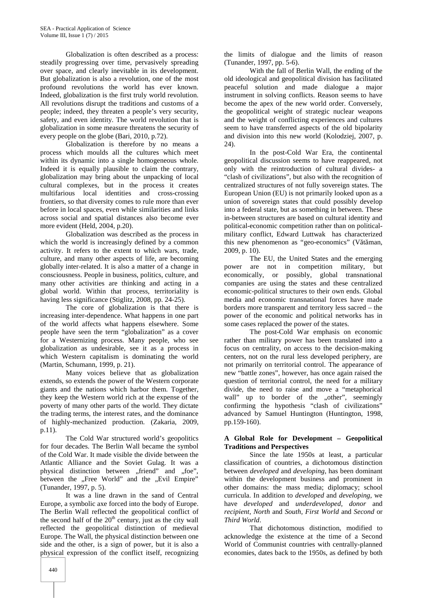Globalization is often described as a process: steadily progressing over time, pervasively spreading over space, and clearly inevitable in its development. But globalization is also a revolution, one of the most profound revolutions the world has ever known. Indeed, globalization is the first truly world revolution. All revolutions disrupt the traditions and customs of a people; indeed, they threaten a people's very security, safety, and even identity. The world revolution that is globalization in some measure threatens the security of every people on the globe (Bari, 2010, p.72).

Globalization is therefore by no means a process which moulds all the cultures which meet within its dynamic into a single homogeneous whole. Indeed it is equally plausible to claim the contrary, globalization may bring about the unpacking of local cultural complexes, but in the process it creates multifarious local identities and cross-crossing frontiers, so that diversity comes to rule more than ever before in local spaces, even while similarities and links across social and spatial distances also become ever more evident (Held, 2004, p.20).

Globalization was described as the process in which the world is increasingly defined by a common activity. It refers to the extent to which wars, trade, culture, and many other aspects of life, are becoming globally inter-related. It is also a matter of a change in consciousness. People in business, politics, culture, and many other activities are thinking and acting in a global world. Within that process, territoriality is having less significance (Stiglitz, 2008, pp. 24-25).

The core of globalization is that there is increasing inter-dependence. What happens in one part of the world affects what happens elsewhere. Some people have seen the term "globalization" as a cover for a Westernizing process. Many people, who see globalization as undesirable, see it as a process in which Western capitalism is dominating the world (Martin, Schumann, 1999, p. 21).

Many voices believe that as globalization extends, so extends the power of the Western corporate giants and the nations which harbor them. Together, they keep the Western world rich at the expense of the poverty of many other parts of the world. They dictate the trading terms, the interest rates, and the dominance of highly-mechanized production. (Zakaria, 2009, p.11).

The Cold War structured world's geopolitics for four decades. The Berlin Wall became the symbol of the Cold War. It made visible the divide between the Atlantic Alliance and the Soviet Gulag. It was a physical distinction between "friend" and "foe", between the "Free World" and the "Evil Empire" (Tunander, 1997, p. 5).

It was a line drawn in the sand of Central Europe, a symbolic axe forced into the body of Europe. The Berlin Wall reflected the geopolitical conflict of the second half of the  $20<sup>th</sup>$  century, just as the city wall reflected the geopolitical distinction of medieval Europe. The Wall, the physical distinction between one side and the other, is a sign of power, but it is also a physical expression of the conflict itself, recognizing

the limits of dialogue and the limits of reason (Tunander, 1997, pp. 5-6).

With the fall of Berlin Wall, the ending of the old ideological and geopolitical division has facilitated peaceful solution and made dialogue a major instrument in solving conflicts. Reason seems to have become the apex of the new world order. Conversely, the geopolitical weight of strategic nuclear weapons and the weight of conflicting experiences and cultures seem to have transferred aspects of the old bipolarity and division into this new world (Kolodziej, 2007, p.  $24$ 

In the post-Cold War Era, the continental geopolitical discussion seems to have reappeared, not only with the reintroduction of cultural divides- a "clash of civilizations", but also with the recognition of centralized structures of not fully sovereign states. The European Union (EU) is not primarily looked upon as a union of sovereign states that could possibly develop into a federal state, but as something in between. These in-between structures are based on cultural identity and political-economic competition rather than on political military conflict, Edward Luttwak has characterized this new phenomenon as "geo-economics" (V $t$  man, 2009, p. 10).

The EU, the United States and the emerging are not in competition military, but economically, or possibly, global transnational companies are using the states and these centralized economic-political structures to their own ends. Global media and economic transnational forces have made borders more transparent and territory less sacred – the power of the economic and political networks has in some cases replaced the power of the states.

The post-Cold War emphasis on economic rather than military power has been translated into a focus on centrality, on access to the decision-making centers, not on the rural less developed periphery, are not primarily on territorial control. The appearance of new "battle zones", however, has once again raised the question of territorial control, the need for a military divide, the need to raise and move a "metaphorical wall" up to border of the "other", seemingly confirming the hypothesis "clash of civilizations" advanced by Samuel Huntington (Huntington, 1998, pp.159-160).

#### **A Global Role for Development – Geopolitical Traditions and Perspectives**

Since the late 1950s at least, a particular classification of countries, a dichotomous distinction between *developed* and *developing*, has been dominant within the development business and prominent in other domains: the mass media; diplomacy; school curricula. In addition to *developed* and *developing*, we have *developed* and *underdeveloped, donor* and *recipient, North* and *South, First World* and *Second* or *Third World*.

That dichotomous distinction, modified to acknowledge the existence at the time of a Second World of Communist countries with centrally-planned economies, dates back to the 1950s, as defined by both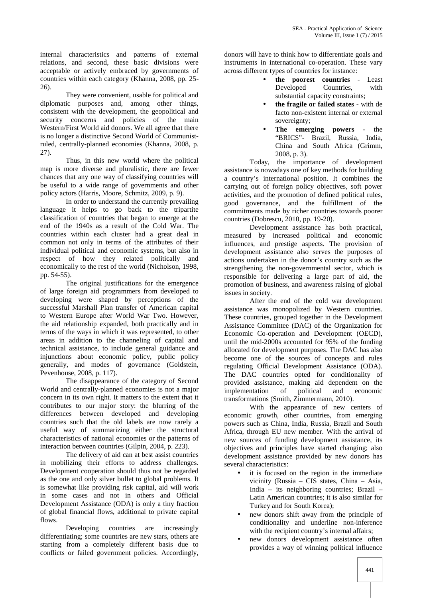internal characteristics and patterns of external relations, and second, these basic divisions were acceptable or actively embraced by governments of countries within each category (Khanna, 2008, pp. 25- 26).

They were convenient, usable for political and diplomatic purposes and, among other things, consistent with the development, the geopolitical and security concerns and policies of the main Western/First World aid donors. We all agree that there is no longer a distinctive Second World of Communistruled, centrally-planned economies (Khanna, 2008, p. 27).

Thus, in this new world where the political map is more diverse and pluralistic, there are fewer chances that any one way of classifying countries will be useful to a wide range of governments and other policy actors (Harris, Moore, Schmitz, 2009, p. 9).

In order to understand the currently prevailing language it helps to go back to the tripartite classification of countries that began to emerge at the end of the 1940s as a result of the Cold War. The countries within each cluster had a great deal in common not only in terms of the attributes of their individual political and economic systems, but also in respect of how they related politically and economically to the rest of the world (Nicholson, 1998, pp. 54-55).

The original justifications for the emergence of large foreign aid programmers from developed to developing were shaped by perceptions of the successful Marshall Plan transfer of American capital to Western Europe after World War Two. However, the aid relationship expanded, both practically and in terms of the ways in which it was represented, to other areas in addition to the channeling of capital and technical assistance, to include general guidance and injunctions about economic policy, public policy generally, and modes of governance (Goldstein, Pevenhouse, 2008, p. 117).

The disappearance of the category of Second World and centrally-planned economies is not a major concern in its own right. It matters to the extent that it contributes to our major story: the blurring of the differences between developed and developing countries such that the old labels are now rarely a useful way of summarizing either the structural characteristics of national economies or the patterns of interaction between countries (Gilpin, 2004, p. 223).

The delivery of aid can at best assist countries in mobilizing their efforts to address challenges. Development cooperation should thus not be regarded as the one and only silver bullet to global problems. It is somewhat like providing risk capital, aid will work in some cases and not in others and Official Development Assistance (ODA) is only a tiny fraction of global financial flows, additional to private capital flows.

Developing countries are increasingly differentiating; some countries are new stars, others are starting from a completely different basis due to conflicts or failed government policies. Accordingly,

donors will have to think how to differentiate goals and instruments in international co-operation. These vary across different types of countries for instance:

- **the poorest countries** Least Developed Countries, with substantial capacity constraints;
- **the fragile or failed states** with de facto non-existent internal or external sovereignty;
- **The emerging powers** the "BRICS"- Brazil, Russia, India, China and South Africa (Grimm, 2008, p. 3).

Today, the importance of development assistance is nowadays one of key methods for building a country's international position. It combines the carrying out of foreign policy objectives, soft power activities, and the promotion of defined political rules, good governance, and the fulfillment of the commitments made by richer countries towards poorer countries (Dobrescu, 2010, pp. 19-20).

Development assistance has both practical, measured by increased political and economic influences, and prestige aspects. The provision of development assistance also serves the purposes of actions undertaken in the donor's country such as the strengthening the non-governmental sector, which is responsible for delivering a large part of aid, the promotion of business, and awareness raising of global issues in society.

After the end of the cold war development assistance was monopolized by Western countries. These countries, grouped together in the Development Assistance Committee (DAC) of the Organization for Economic Co-operation and Development (OECD), until the mid-2000s accounted for 95% of the funding allocated for development purposes. The DAC has also become one of the sources of concepts and rules regulating Official Development Assistance (ODA). The DAC countries opted for conditionality of provided assistance, making aid dependent on the implementation of political and economic transformations (Smith, Zimmermann, 2010).

With the appearance of new centers of economic growth, other countries, from emerging powers such as China, India, Russia, Brazil and South Africa, through EU new member. With the arrival of new sources of funding development assistance, its objectives and principles have started changing; also development assistance provided by new donors has several characteristics:

- it is focused on the region in the immediate vicinity (Russia – CIS states, China – Asia, India – its neighboring countries; Brazil – Latin American countries; it is also similar for Turkey and for South Korea);
- new donors shift away from the principle of conditionality and underline non-inference with the recipient country's internal affairs;
- new donors development assistance often provides a way of winning political influence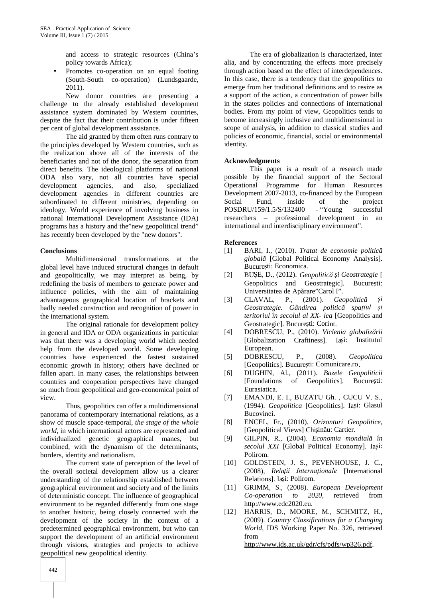and access to strategic resources (China's policy towards Africa);

 Promotes co-operation on an equal footing (South-South co-operation) (Lundsgaarde, 2011).

New donor countries are presenting a challenge to the already established development assistance system dominated by Western countries, despite the fact that their contribution is under fifteen per cent of global development assistance.

The aid granted by them often runs contrary to the principles developed by Western countries, such as the realization above all of the interests of the beneficiaries and not of the donor, the separation from direct benefits. The ideological platforms of national ODA also vary, not all countries have special development agencies, and also, specialized development agencies in different countries are subordinated to different ministries, depending on Social ideology. World experience of involving business in national International Development Assistance (IDA) programs has a history and the"new geopolitical trend" has recently been developed by the "new donors".

## **Conclusions**

Multidimensional transformations at the global level have induced structural changes in default and geopolitically, we may interpret as being, by redefining the basis of members to generate power and influence policies, with the aim of maintaining advantageous geographical location of brackets and badly needed construction and recognition of power in the international system.

The original rationale for development policy in general and IDA or ODA organizations in particular was that there was a developing world which needed help from the developed world. Some developing countries have experienced the fastest sustained economic growth in history; others have declined or fallen apart. In many cases, the relationships between [6] countries and cooperation perspectives have changed so much from geopolitical and geo-economical point of view.

Thus, geopolitics can offer a multidimensional panorama of contemporary international relations, as a show of muscle space-temporal, *the stage of the whole world*, in which international actors are represented and individualized genetic geographical manes, but [9] individualized genetic geographical manes, but combined, with the dynamism of the determinants, borders, identity and nationalism.

The current state of perception of the level of the overall societal development allow us a clearer understanding of the relationship established between geographical environment and society and of the limits of deterministic concept. The influence of geographical environment to be regarded differently from one stage to another historic, being closely connected with the development of the society in the context of a predetermined geographical environment, but who can support the development of an artificial environment through visions, strategies and projects to achieve geopolitical new geopolitical identity.

The era of globalization is characterized, inter alia, and by concentrating the effects more precisely through action based on the effect of interdependences. In this case, there is a tendency that the geopolitics to emerge from her traditional definitions and to resize as a support of the action, a concentration of power bills in the states policies and connections of international bodies. From my point of view, Geopolitics tends to become increasingly inclusive and multidimensional in scope of analysis, in addition to classical studies and policies of economic, financial, social or environmental identity.

## **Acknowledgments**

This paper is a result of a research made possible by the financial support of the Sectoral Operational Programme for Human Resources Development 2007-2013, co-financed by the European Fund, inside of the project 159/1.5/S/132400 - "Young successful POSDRU/159/1.5/S/132400 - "Young successful researchers – professional development in an international and interdisciplinary environment".

#### **References**

- [1] BARI, I., (2010). *Tratat de economie politic globală* [Global Political Economy Analysis]. Bucure ti: Economica.
- [2] BUȘE, D., (2012). *Geopolitică și Geostrategie* [ Geopolitics and Geostrategic]. Bucure ti: Universitatea de Apărare"Carol I".<br>CLAVAL, P., (2001). Gee
- CLAVAL, P., (2001). *Geopolitic i Geostrategie. Gândirea politică spațiul și teritoriul în secolul al XX- lea* [Geopolitics and Geostrategic]. Bucure ti: Corint.
- [4] DOBRESCU, P., (2010). *Viclenia globaliz rii* [Globalization Craftiness]. Ia i: Institutul European.
- [5] DOBRESCU, P., (2008). *Geopolitica* [Geopolitics]. Bucure ti: Comunicare.ro.
- [6] DUGHIN, Al., (2011). *Bazele Geopoliticii* [Foundations of Geopolitics]. Bucure ti: Eurasiatica.
- [7] EMANDI, E. I., BUZATU Gh. , CUCU V. S., (1994). *Geopolitica* [Geopolitics]. Ia i: Glasul Bucovinei.
- [8] ENCEL, Fr., (2010). *Orizonturi Geopolitice*, [Geopolitical Views] Chi in u: Cartier.
- [9] GILPIN, R., (2004). *Economia mondială în secolul XXI* [Global Political Economy]. Ia i: Polirom.
- [10] GOLDSTEIN, J. S., PEVENHOUSE, J. C., (2008), *Relații Internaționale* [International Relations]. Ia i: Polirom.
- [11] GRIMM, S., (2008). *European Development Co-operation to 2020*, retrieved from http://www.edc2020.eu.
- [12] HARRIS, D., MOORE, M., SCHMITZ, H., (2009). *Country Classifications for a Changing World*, IDS Working Paper No. 326, retrieved from http://www.ids.ac.uk/gdr/cfs/pdfs/wp326.pdf.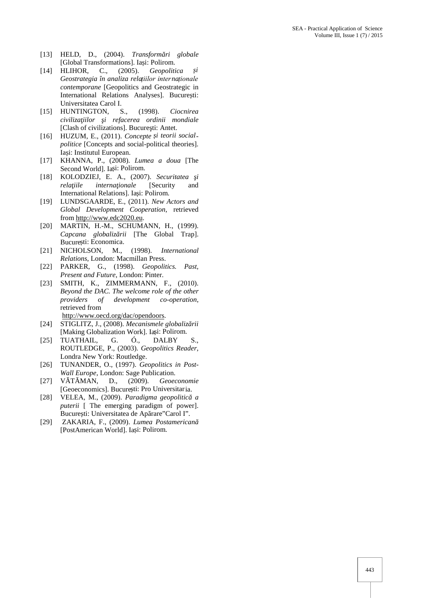- [13] HELD, D., (2004). *Transform ri globale* [Global Transformations]. Ia i: Polirom.
- [14] HLIHOR, C., (2005). *Geopolitica și Geostrategia în analiza relațiilor internaționale contemporane* [Geopolitics and Geostrategic in International Relations Analyses]. Bucure ti: Universitatea Carol I.
- [15] HUNTINGTON, S., (1998). *Ciocnirea civilizaţiilor şi refacerea ordinii mondiale* [Clash of civilizations]. Bucure ti: Antet.
- [16] HUZUM, E., (2011). *Concepte și teorii social politice* [Concepts and social-political theories]. Ia i: Institutul European.
- [17] KHANNA, P., (2008). *Lumea a doua* [The Second World]. Ia i: Polirom.
- [18] KOLODZIEJ, E. A., (2007). *Securitatea i rela iile interna ionale* [Security and International Relations]. Ia i: Polirom.
- [19] LUNDSGAARDE, E., (2011). *New Actors and Global Development Cooperation*, retrieved from http://www.edc2020.eu.
- [20] MARTIN, H.-M., SCHUMANN, H., (1999). *Capcana globaliz rii* [The Global Trap]. Bucure ti: Economica.
- [21] NICHOLSON, M., (1998). *International Relations*, London: Macmillan Press.
- [22] PARKER, G., (1998). *Geopolitics. Past, Present and Future*, London: Pinter.
- [23] SMITH, K., ZIMMERMANN, F., (2010). *Beyond the DAC. The welcome role of the other providers of development co-operation*, retrieved from http://www.oecd.org/dac/opendoors.
- [24] STIGLITZ, J., (2008). *Mecanismele globaliz rii* [Making Globalization Work]. Ia i: Polirom.
- [25] TUATHAIL, G. Ó., DALBY S., ROUTLEDGE, P., (2003). *Geopolitics Reader*, Londra New York: Routledge.
- [26] TUNANDER, O., (1997). *Geopolitics in Post- Wall Europe*, London: Sage Publication.
- [27] V T MAN, D., (2009). *Geoeconomie* [Geoeconomics]. Bucure ti: Pro Universitaria.
- [28] VELEA, M., (2009). Paradigma geopolitic a *puterii* [ The emerging paradigm of power]. Bucure ti: Universitatea de Ap rare"Carol I".
- [29] ZAKARIA, F., (2009). *Lumea Postamerican* [PostAmerican World]. Ia i: Polirom.